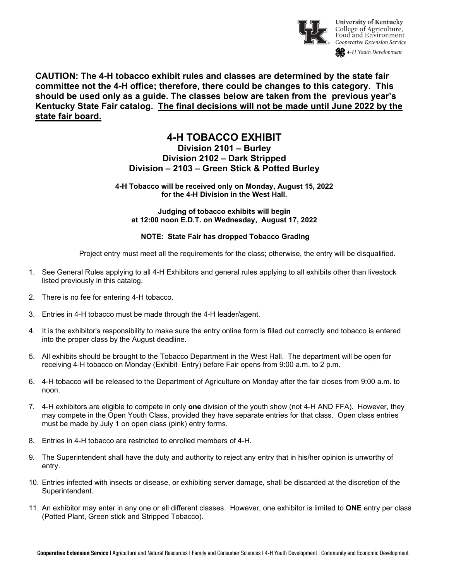

**CAUTION: The 4-H tobacco exhibit rules and classes are determined by the state fair committee not the 4-H office; therefore, there could be changes to this category. This should be used only as a guide. The classes below are taken from the previous year's Kentucky State Fair catalog. The final decisions will not be made until June 2022 by the state fair board.**

# **4-H TOBACCO EXHIBIT Division 2101 – Burley Division 2102 – Dark Stripped Division – 2103 – Green Stick & Potted Burley**

**4-H Tobacco will be received only on Monday, August 15, 2022 for the 4-H Division in the West Hall.**

**Judging of tobacco exhibits will begin at 12:00 noon E.D.T. on Wednesday, August 17, 2022**

## **NOTE: State Fair has dropped Tobacco Grading**

Project entry must meet all the requirements for the class; otherwise, the entry will be disqualified.

- 1. See General Rules applying to all 4-H Exhibitors and general rules applying to all exhibits other than livestock listed previously in this catalog.
- 2. There is no fee for entering 4-H tobacco.
- 3. Entries in 4-H tobacco must be made through the 4-H leader/agent.
- 4. It is the exhibitor's responsibility to make sure the entry online form is filled out correctly and tobacco is entered into the proper class by the August deadline.
- 5. All exhibits should be brought to the Tobacco Department in the West Hall. The department will be open for receiving 4-H tobacco on Monday (Exhibit Entry) before Fair opens from 9:00 a.m. to 2 p.m.
- 6. 4-H tobacco will be released to the Department of Agriculture on Monday after the fair closes from 9:00 a.m. to noon.
- 7. 4-H exhibitors are eligible to compete in only **one** division of the youth show (not 4-H AND FFA). However, they may compete in the Open Youth Class, provided they have separate entries for that class. Open class entries must be made by July 1 on open class (pink) entry forms.
- 8. Entries in 4-H tobacco are restricted to enrolled members of 4-H.
- 9. The Superintendent shall have the duty and authority to reject any entry that in his/her opinion is unworthy of entry.
- 10. Entries infected with insects or disease, or exhibiting server damage, shall be discarded at the discretion of the Superintendent.
- 11. An exhibitor may enter in any one or all different classes. However, one exhibitor is limited to **ONE** entry per class (Potted Plant, Green stick and Stripped Tobacco).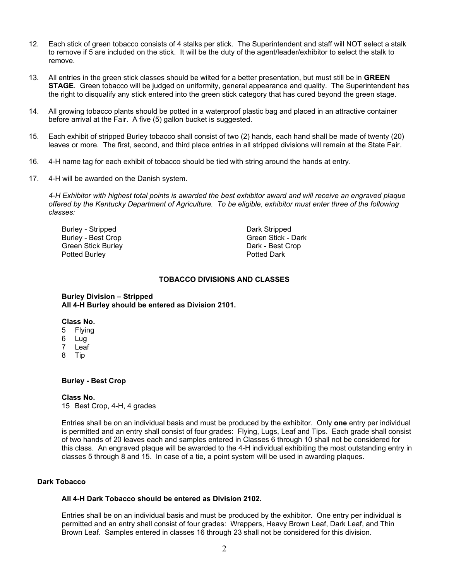- 12. Each stick of green tobacco consists of 4 stalks per stick. The Superintendent and staff will NOT select a stalk to remove if 5 are included on the stick. It will be the duty of the agent/leader/exhibitor to select the stalk to remove.
- 13. All entries in the green stick classes should be wilted for a better presentation, but must still be in **GREEN STAGE**. Green tobacco will be judged on uniformity, general appearance and quality. The Superintendent has the right to disqualify any stick entered into the green stick category that has cured beyond the green stage.
- 14. All growing tobacco plants should be potted in a waterproof plastic bag and placed in an attractive container before arrival at the Fair. A five (5) gallon bucket is suggested.
- 15. Each exhibit of stripped Burley tobacco shall consist of two (2) hands, each hand shall be made of twenty (20) leaves or more. The first, second, and third place entries in all stripped divisions will remain at the State Fair.
- 16. 4-H name tag for each exhibit of tobacco should be tied with string around the hands at entry.
- 17. 4-H will be awarded on the Danish system.

*4-H Exhibitor with highest total points is awarded the best exhibitor award and will receive an engraved plaque offered by the Kentucky Department of Agriculture. To be eligible, exhibitor must enter three of the following classes:*

Burley - Stripped Dark Stripped Burley - Best Crop Green Stick Burley Dark - Best Crop Potted Burley

#### **TOBACCO DIVISIONS AND CLASSES**

**Burley Division – Stripped All 4-H Burley should be entered as Division 2101.**

#### **Class No.**

- 5 Flying
- 6 Lug
- 7 Leaf
- 8 Tip

## **Burley - Best Crop**

#### **Class No.**

15 Best Crop, 4-H, 4 grades

Entries shall be on an individual basis and must be produced by the exhibitor. Only **one** entry per individual is permitted and an entry shall consist of four grades: Flying, Lugs, Leaf and Tips. Each grade shall consist of two hands of 20 leaves each and samples entered in Classes 6 through 10 shall not be considered for this class. An engraved plaque will be awarded to the 4-H individual exhibiting the most outstanding entry in classes 5 through 8 and 15. In case of a tie, a point system will be used in awarding plaques.

## **Dark Tobacco**

## **All 4-H Dark Tobacco should be entered as Division 2102.**

Entries shall be on an individual basis and must be produced by the exhibitor. One entry per individual is permitted and an entry shall consist of four grades: Wrappers, Heavy Brown Leaf, Dark Leaf, and Thin Brown Leaf. Samples entered in classes 16 through 23 shall not be considered for this division.